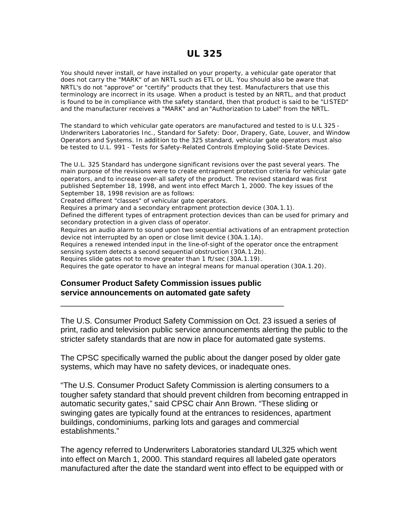You should never install, or have installed on your property, a vehicular gate operator that does not carry the "MARK" of an NRTL such as ETL or UL. You should also be aware that NRTL's do not "approve" or "certify" products that they test. Manufacturers that use this terminology are incorrect in its usage. When a product is tested by an NRTL, and that product is found to be in compliance with the safety standard, then that product is said to be "LISTED" and the manufacturer receives a "MARK" and an "Authorization to Label" from the NRTL.

The standard to which vehicular gate operators are manufactured and tested to is U.L 325 - Underwriters Laboratories Inc., Standard for Safety: Door, Drapery, Gate, Louver, and Window Operators and Systems. In addition to the 325 standard, vehicular gate operators must also be tested to U.L. 991 - Tests for Safety-Related Controls Employing Solid-State Devices.

The U.L. 325 Standard has undergone significant revisions over the past several years. The main purpose of the revisions were to create entrapment protection criteria for vehicular gate operators, and to increase over-all safety of the product. The revised standard was first published September 18, 1998, and went into effect March 1, 2000. The key issues of the September 18, 1998 revision are as follows:

Created different "classes" of vehicular gate operators.

Requires a primary and a secondary entrapment protection device (30A.1.1).

Defined the different types of entrapment protection devices than can be used for primary and secondary protection in a given class of operator.

Requires an audio alarm to sound upon two sequential activations of an entrapment protection device not interrupted by an open or close limit device (30A.1.1A).

Requires a renewed intended input in the line-of-sight of the operator once the entrapment sensing system detects a second sequential obstruction (30A.1.2b).

Requires slide gates not to move greater than 1 ft/sec (30A.1.19).

Requires the gate operator to have an integral means for manual operation (30A.1.20).

## **Consumer Product Safety Commission issues public service announcements on automated gate safety**

\_\_\_\_\_\_\_\_\_\_\_\_\_\_\_\_\_\_\_\_\_\_\_\_\_\_\_\_\_\_\_\_\_\_\_\_\_\_\_\_\_\_\_\_\_\_\_\_\_\_

The U.S. Consumer Product Safety Commission on Oct. 23 issued a series of print, radio and television public service announcements alerting the public to the stricter safety standards that are now in place for automated gate systems.

The CPSC specifically warned the public about the danger posed by older gate systems, which may have no safety devices, or inadequate ones.

"The U.S. Consumer Product Safety Commission is alerting consumers to a tougher safety standard that should prevent children from becoming entrapped in automatic security gates," said CPSC chair Ann Brown. "These sliding or swinging gates are typically found at the entrances to residences, apartment buildings, condominiums, parking lots and garages and commercial establishments."

The agency referred to Underwriters Laboratories standard UL325 which went into effect on March 1, 2000. This standard requires all labeled gate operators manufactured after the date the standard went into effect to be equipped with or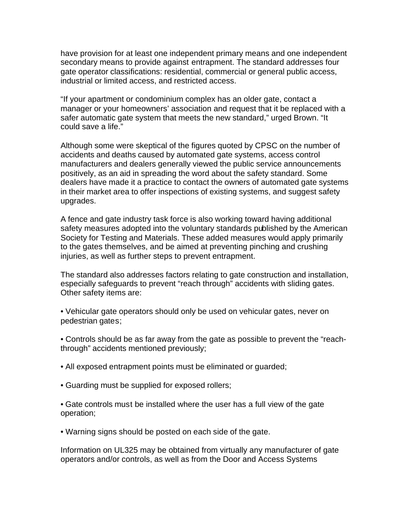have provision for at least one independent primary means and one independent secondary means to provide against entrapment. The standard addresses four gate operator classifications: residential, commercial or general public access, industrial or limited access, and restricted access.

"If your apartment or condominium complex has an older gate, contact a manager or your homeowners' association and request that it be replaced with a safer automatic gate system that meets the new standard," urged Brown. "It could save a life."

Although some were skeptical of the figures quoted by CPSC on the number of accidents and deaths caused by automated gate systems, access control manufacturers and dealers generally viewed the public service announcements positively, as an aid in spreading the word about the safety standard. Some dealers have made it a practice to contact the owners of automated gate systems in their market area to offer inspections of existing systems, and suggest safety upgrades.

A fence and gate industry task force is also working toward having additional safety measures adopted into the voluntary standards published by the American Society for Testing and Materials. These added measures would apply primarily to the gates themselves, and be aimed at preventing pinching and crushing injuries, as well as further steps to prevent entrapment.

The standard also addresses factors relating to gate construction and installation, especially safeguards to prevent "reach through" accidents with sliding gates. Other safety items are:

• Vehicular gate operators should only be used on vehicular gates, never on pedestrian gates;

- Controls should be as far away from the gate as possible to prevent the "reachthrough" accidents mentioned previously;
- All exposed entrapment points must be eliminated or guarded;
- Guarding must be supplied for exposed rollers;

• Gate controls must be installed where the user has a full view of the gate operation;

• Warning signs should be posted on each side of the gate.

Information on UL325 may be obtained from virtually any manufacturer of gate operators and/or controls, as well as from the Door and Access Systems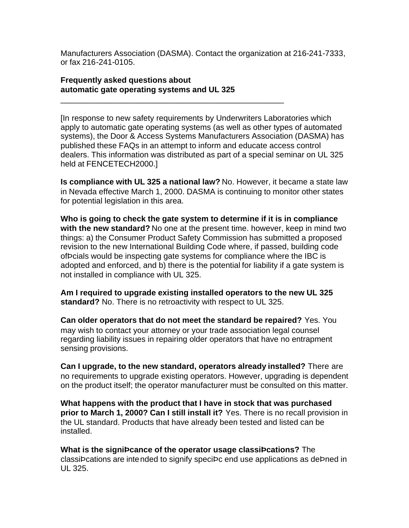Manufacturers Association (DASMA). Contact the organization at 216-241-7333, or fax 216-241-0105.

## **Frequently asked questions about automatic gate operating systems and UL 325**

\_\_\_\_\_\_\_\_\_\_\_\_\_\_\_\_\_\_\_\_\_\_\_\_\_\_\_\_\_\_\_\_\_\_\_\_\_\_\_\_\_\_\_\_\_\_\_\_\_\_

[In response to new safety requirements by Underwriters Laboratories which apply to automatic gate operating systems (as well as other types of automated systems), the Door & Access Systems Manufacturers Association (DASMA) has published these FAQs in an attempt to inform and educate access control dealers. This information was distributed as part of a special seminar on UL 325 held at FENCETECH2000.]

**Is compliance with UL 325 a national law?** No. However, it became a state law in Nevada effective March 1, 2000. DASMA is continuing to monitor other states for potential legislation in this area.

**Who is going to check the gate system to determine if it is in compliance with the new standard?** No one at the present time. however, keep in mind two things: a) the Consumer Product Safety Commission has submitted a proposed revision to the new International Building Code where, if passed, building code ofÞcials would be inspecting gate systems for compliance where the IBC is adopted and enforced, and b) there is the potential for liability if a gate system is not installed in compliance with UL 325.

**Am I required to upgrade existing installed operators to the new UL 325 standard?** No. There is no retroactivity with respect to UL 325.

**Can older operators that do not meet the standard be repaired?** Yes. You may wish to contact your attorney or your trade association legal counsel regarding liability issues in repairing older operators that have no entrapment sensing provisions.

**Can I upgrade, to the new standard, operators already installed?** There are no requirements to upgrade existing operators. However, upgrading is dependent on the product itself; the operator manufacturer must be consulted on this matter.

**What happens with the product that I have in stock that was purchased prior to March 1, 2000? Can I still install it?** Yes. There is no recall provision in the UL standard. Products that have already been tested and listed can be installed.

**What is the signiÞcance of the operator usage classiÞcations?** The classiÞcations are intended to signify speciÞc end use applications as deÞned in UL 325.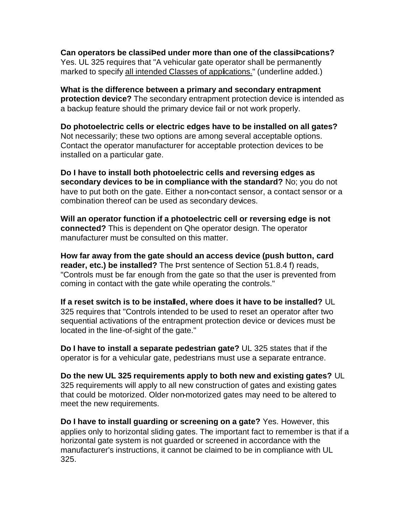**Can operators be classiÞed under more than one of the classiÞcations?** Yes. UL 325 requires that "A vehicular gate operator shall be permanently marked to specify all intended Classes of applications." (underline added.)

**What is the difference between a primary and secondary entrapment protection device?** The secondary entrapment protection device is intended as a backup feature should the primary device fail or not work properly.

**Do photoelectric cells or electric edges have to be installed on all gates?** Not necessarily; these two options are among several acceptable options. Contact the operator manufacturer for acceptable protection devices to be installed on a particular gate.

**Do I have to install both photoelectric cells and reversing edges as secondary devices to be in compliance with the standard?** No; you do not have to put both on the gate. Either a non-contact sensor, a contact sensor or a combination thereof can be used as secondary devices.

**Will an operator function if a photoelectric cell or reversing edge is not connected?** This is dependent on Qhe operator design. The operator manufacturer must be consulted on this matter.

**How far away from the gate should an access device (push button, card reader, etc.) be installed?** The Þrst sentence of Section 51.8.4 f) reads, "Controls must be far enough from the gate so that the user is prevented from coming in contact with the gate while operating the controls."

**If a reset switch is to be installed, where does it have to be installed?** UL 325 requires that "Controls intended to be used to reset an operator after two sequential activations of the entrapment protection device or devices must be located in the line-of-sight of the gate."

**Do I have to install a separate pedestrian gate?** UL 325 states that if the operator is for a vehicular gate, pedestrians must use a separate entrance.

**Do the new UL 325 requirements apply to both new and existing gates?** UL 325 requirements will apply to all new construction of gates and existing gates that could be motorized. Older non-motorized gates may need to be altered to meet the new requirements.

**Do I have to install guarding or screening on a gate?** Yes. However, this applies only to horizontal sliding gates. The important fact to remember is that if a horizontal gate system is not guarded or screened in accordance with the manufacturer's instructions, it cannot be claimed to be in compliance with UL 325.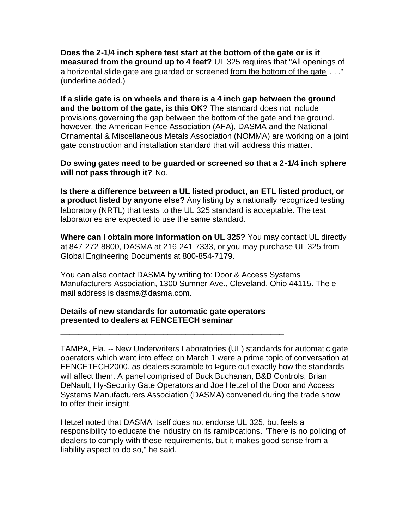**Does the 2-1/4 inch sphere test start at the bottom of the gate or is it measured from the ground up to 4 feet?** UL 325 requires that "All openings of a horizontal slide gate are guarded or screened from the bottom of the gate . . ." (underline added.)

**If a slide gate is on wheels and there is a 4 inch gap between the ground and the bottom of the gate, is this OK?** The standard does not include provisions governing the gap between the bottom of the gate and the ground. however, the American Fence Association (AFA), DASMA and the National Ornamental & Miscellaneous Metals Association (NOMMA) are working on a joint gate construction and installation standard that will address this matter.

**Do swing gates need to be guarded or screened so that a 2-1/4 inch sphere will not pass through it?** No.

**Is there a difference between a UL listed product, an ETL listed product, or a product listed by anyone else?** Any listing by a nationally recognized testing laboratory (NRTL) that tests to the UL 325 standard is acceptable. The test laboratories are expected to use the same standard.

**Where can I obtain more information on UL 325?** You may contact UL directly at 847-272-8800, DASMA at 216-241-7333, or you may purchase UL 325 from Global Engineering Documents at 800-854-7179.

You can also contact DASMA by writing to: Door & Access Systems Manufacturers Association, 1300 Sumner Ave., Cleveland, Ohio 44115. The email address is dasma@dasma.com.

## **Details of new standards for automatic gate operators presented to dealers at FENCETECH seminar**

\_\_\_\_\_\_\_\_\_\_\_\_\_\_\_\_\_\_\_\_\_\_\_\_\_\_\_\_\_\_\_\_\_\_\_\_\_\_\_\_\_\_\_\_\_\_\_\_\_\_

TAMPA, Fla. -- New Underwriters Laboratories (UL) standards for automatic gate operators which went into effect on March 1 were a prime topic of conversation at FENCETECH2000, as dealers scramble to Þgure out exactly how the standards will affect them. A panel comprised of Buck Buchanan, B&B Controls, Brian DeNault, Hy-Security Gate Operators and Joe Hetzel of the Door and Access Systems Manufacturers Association (DASMA) convened during the trade show to offer their insight.

Hetzel noted that DASMA itself does not endorse UL 325, but feels a responsibility to educate the industry on its ramiÞcations. "There is no policing of dealers to comply with these requirements, but it makes good sense from a liability aspect to do so," he said.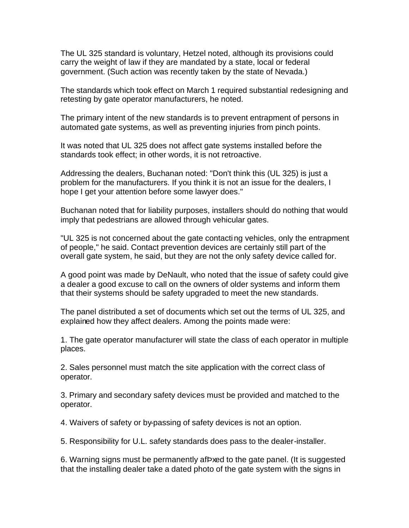The UL 325 standard is voluntary, Hetzel noted, although its provisions could carry the weight of law if they are mandated by a state, local or federal government. (Such action was recently taken by the state of Nevada.)

The standards which took effect on March 1 required substantial redesigning and retesting by gate operator manufacturers, he noted.

The primary intent of the new standards is to prevent entrapment of persons in automated gate systems, as well as preventing injuries from pinch points.

It was noted that UL 325 does not affect gate systems installed before the standards took effect; in other words, it is not retroactive.

Addressing the dealers, Buchanan noted: "Don't think this (UL 325) is just a problem for the manufacturers. If you think it is not an issue for the dealers, I hope I get your attention before some lawyer does."

Buchanan noted that for liability purposes, installers should do nothing that would imply that pedestrians are allowed through vehicular gates.

"UL 325 is not concerned about the gate contacting vehicles, only the entrapment of people," he said. Contact prevention devices are certainly still part of the overall gate system, he said, but they are not the only safety device called for.

A good point was made by DeNault, who noted that the issue of safety could give a dealer a good excuse to call on the owners of older systems and inform them that their systems should be safety upgraded to meet the new standards.

The panel distributed a set of documents which set out the terms of UL 325, and explained how they affect dealers. Among the points made were:

1. The gate operator manufacturer will state the class of each operator in multiple places.

2. Sales personnel must match the site application with the correct class of operator.

3. Primary and secondary safety devices must be provided and matched to the operator.

4. Waivers of safety or by-passing of safety devices is not an option.

5. Responsibility for U.L. safety standards does pass to the dealer-installer.

6. Warning signs must be permanently afÞxed to the gate panel. (It is suggested that the installing dealer take a dated photo of the gate system with the signs in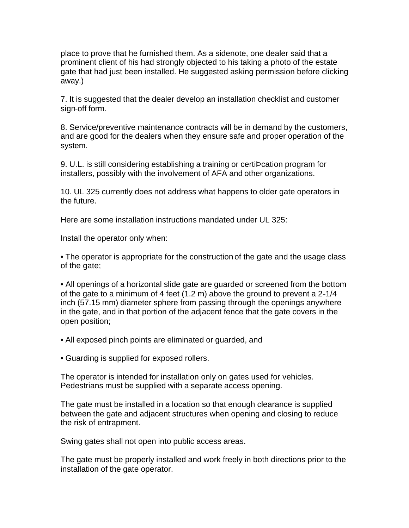place to prove that he furnished them. As a sidenote, one dealer said that a prominent client of his had strongly objected to his taking a photo of the estate gate that had just been installed. He suggested asking permission before clicking away.)

7. It is suggested that the dealer develop an installation checklist and customer sign-off form.

8. Service/preventive maintenance contracts will be in demand by the customers, and are good for the dealers when they ensure safe and proper operation of the system.

9. U.L. is still considering establishing a training or certiÞcation program for installers, possibly with the involvement of AFA and other organizations.

10. UL 325 currently does not address what happens to older gate operators in the future.

Here are some installation instructions mandated under UL 325:

Install the operator only when:

• The operator is appropriate for the construction of the gate and the usage class of the gate;

• All openings of a horizontal slide gate are guarded or screened from the bottom of the gate to a minimum of 4 feet (1.2 m) above the ground to prevent a 2-1/4 inch (57.15 mm) diameter sphere from passing through the openings anywhere in the gate, and in that portion of the adjacent fence that the gate covers in the open position;

• All exposed pinch points are eliminated or guarded, and

• Guarding is supplied for exposed rollers.

The operator is intended for installation only on gates used for vehicles. Pedestrians must be supplied with a separate access opening.

The gate must be installed in a location so that enough clearance is supplied between the gate and adjacent structures when opening and closing to reduce the risk of entrapment.

Swing gates shall not open into public access areas.

The gate must be properly installed and work freely in both directions prior to the installation of the gate operator.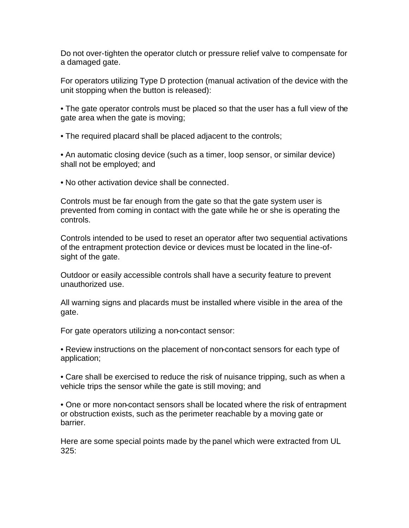Do not over-tighten the operator clutch or pressure relief valve to compensate for a damaged gate.

For operators utilizing Type D protection (manual activation of the device with the unit stopping when the button is released):

• The gate operator controls must be placed so that the user has a full view of the gate area when the gate is moving;

• The required placard shall be placed adjacent to the controls;

• An automatic closing device (such as a timer, loop sensor, or similar device) shall not be employed; and

• No other activation device shall be connected.

Controls must be far enough from the gate so that the gate system user is prevented from coming in contact with the gate while he or she is operating the controls.

Controls intended to be used to reset an operator after two sequential activations of the entrapment protection device or devices must be located in the line-ofsight of the gate.

Outdoor or easily accessible controls shall have a security feature to prevent unauthorized use.

All warning signs and placards must be installed where visible in the area of the gate.

For gate operators utilizing a non-contact sensor:

• Review instructions on the placement of non-contact sensors for each type of application;

• Care shall be exercised to reduce the risk of nuisance tripping, such as when a vehicle trips the sensor while the gate is still moving; and

• One or more non-contact sensors shall be located where the risk of entrapment or obstruction exists, such as the perimeter reachable by a moving gate or barrier.

Here are some special points made by the panel which were extracted from UL 325: